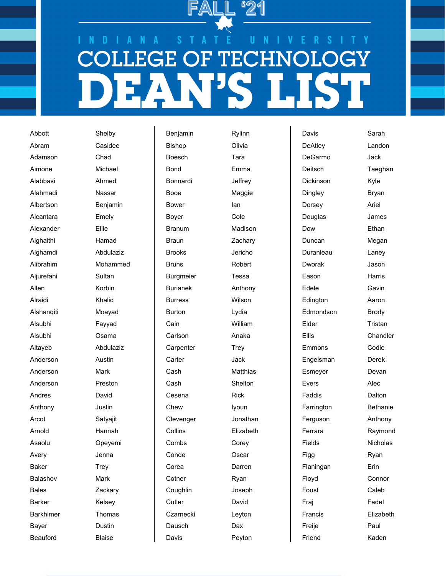

## D **TECHN** ЭE F G

Abbott Shelby Abram Casidee Adamson Chad Aimone Michael Alabbasi Ahmed Alahmadi Nassar Alcantara Emely Alexander Ellie Alghaithi Hamad Aljurefani Sultan Allen Korbin Alraidi Khalid Alshanqiti Moayad Alsubhi Fayyad Alsubhi Osama Anderson Austin Anderson Mark Anderson Preston Andres David Anthony Justin Arcot Satyajit Arnold Hannah Asaolu Opeyemi Avery Jenna Baker Trey Balashov Mark Bales **Zackary** Barker Kelsey Barkhimer Thomas Bayer Dustin

Albertson Benjamin Alghamdi Abdulaziz Alibrahim Mohammed Altayeb Abdulaziz Beauford Blaise

Benjamin Rylinn Bishop Olivia Boesch Tara Bond Emma Bonnardi Jeffrey Booe Maggie Bower lan Boyer Cole Branum Madison Braun **Zachary** Brooks Jericho Bruns Robert Burgmeier Tessa Burianek Anthony Burress Wilson Burton Lydia Cain William Carlson Anaka Carpenter Trey Carter Jack Cash Matthias Cash Shelton Cesena Rick Chew Iyoun Clevenger Jonathan Collins Elizabeth Combs Corey Conde Oscar Corea Darren Cotner Ryan Coughlin Joseph Cutler David Czarnecki Leyton Dausch Dax

Davis Peyton

Davis Sarah DeAtley Landon DeGarmo Jack Deitsch Taeghan Dickinson Kyle Dingley Bryan Dorsey Ariel Douglas James Dow **Ethan** Duncan Megan Duranleau Laney Dworak Jason Eason Harris Edele Gavin Edington Aaron Edmondson Brody Elder Tristan Ellis Chandler Emmons Codie Engelsman Derek Esmeyer Devan Evers Alec Faddis **Dalton** Farrington **Bethanie** Ferguson Anthony Ferrara Raymond Fields Nicholas Figg Ryan Flaningan Erin Floyd Connor Foust Caleb Fraj Fadel Francis Elizabeth Freije Paul Friend Kaden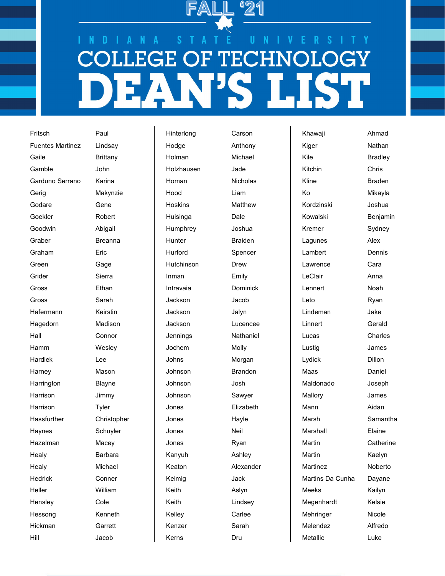## D **TECHN** ЭE F G

Fritsch Paul Fuentes Martinez Lindsay Gaile **Brittany** Gamble John Garduno Serrano Karina Gerig Makynzie Godare Gene Goekler Robert Goodwin Abigail Graber **Breanna** Graham Eric Green Gage Grider Sierra Gross Ethan Gross Sarah Hafermann Keirstin Hagedorn Madison Hall Connor Hamm Wesley Hardiek Lee Harney Mason Harrington Blayne Harrison Jimmy Harrison Tyler Hassfurther Christopher Haynes Schuyler Hazelman Macey Healy **Barbara** Healy Michael Hedrick Conner Heller William Hensley Cole Hessong Kenneth Hickman Garrett

Hill Jacob

Hinterlong Carson Hodge **Anthony** Holman Michael Holzhausen Jade Homan Nicholas Hood Liam Hoskins Matthew Huisinga Dale Humphrey Joshua Hunter Braiden Hurford Spencer Hutchinson Drew Inman Emily Intravaia Dominick Jackson Jacob Jackson Jalyn Jackson Lucencee Jennings Nathaniel Jochem Molly Johns Morgan Johnson Brandon Johnson Josh Johnson Sawyer Jones Elizabeth Jones Hayle Jones Neil Jones Ryan Kanyuh Ashley Keaton Alexander Keimig Jack Keith Aslyn Keith Lindsey Kelley Carlee Kenzer Sarah Kerns Dru

Khawaji Ahmad Kiger Nathan Kile Bradley Kitchin Chris Kline Braden Ko Mikayla Kordzinski Joshua Kowalski Benjamin Kremer Sydney Lagunes Alex Lambert Dennis Lawrence Cara LeClair **Anna** Lennert Noah Leto Ryan Lindeman Jake Linnert Gerald Lucas Charles Lustig James Lydick Dillon Maas Daniel Maldonado Joseph Mallory James Mann Aidan Marsh Samantha Marshall Elaine Martin Catherine Martin Kaelyn Martinez Noberto Martins Da Cunha Dayane Meeks Kailyn Megenhardt Kelsie Mehringer Nicole Melendez Alfredo Metallic Luke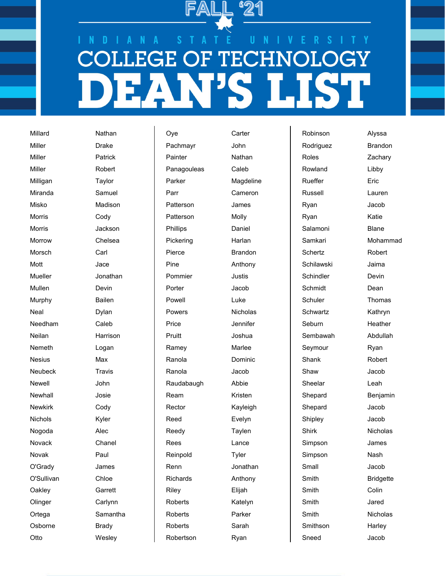

## D **TECHN** ĜË F G

Miller Drake Miller **Patrick** Miller Robert Milligan Taylor Miranda Samuel Morris Cody Morris Jackson Morrow Chelsea Morsch Carl Mott Jace Mullen Devin Murphy Bailen Neal Dylan Needham Caleb Nemeth Logan Nesius Max Neubeck Travis Newell John Newhall Josie Newkirk Cody Nichols Kyler Nogoda Alec Novack Chanel Novak Paul O'Grady James O'Sullivan Chloe Oakley Garrett Olinger Carlynn Osborne Brady

Millard Nathan Misko Madison Mueller Jonathan Neilan Harrison Ortega Samantha Otto Wesley

Oye Carter Pachmayr John Painter **Nathan** Panagouleas Caleb Parker Magdeline Parr Cameron Patterson James Patterson Molly Phillips Daniel Pickering Harlan Pierce **Brandon** Pine **Anthony** Pommier **Justis** Porter **Jacob** Powell Luke Powers Nicholas Price Jennifer Pruitt **Joshua** Ramey Marlee Ranola Dominic Ranola Jacob Raudabaugh Abbie Ream Kristen Rector Kayleigh Reed Evelyn Reedy **Taylen** Rees Lance Reinpold Tyler Renn Jonathan Richards Anthony Riley Elijah Roberts Katelyn Roberts Parker Roberts Sarah Robertson Ryan

Robinson Alyssa Rowland Libby Rueffer **Eric** Russell Lauren Ryan Jacob Ryan Katie Salamoni **Blane** Schertz Robert Schilawski Jaima Schindler Devin Schmidt Dean Seymour Ryan Shank Robert Shaw Jacob Sheelar Leah Shepard Jacob Shipley Jacob Simpson James Simpson Nash Small Jacob Smith Colin Smith Jared Smithson Harley Sneed Jacob

Rodriguez **Brandon** Roles **Zachary** Samkari Mohammad Schuler Thomas Schwartz Kathryn Seburn Heather Sembawah Abdullah Shepard Benjamin Shirk Nicholas Smith Bridgette Smith Nicholas